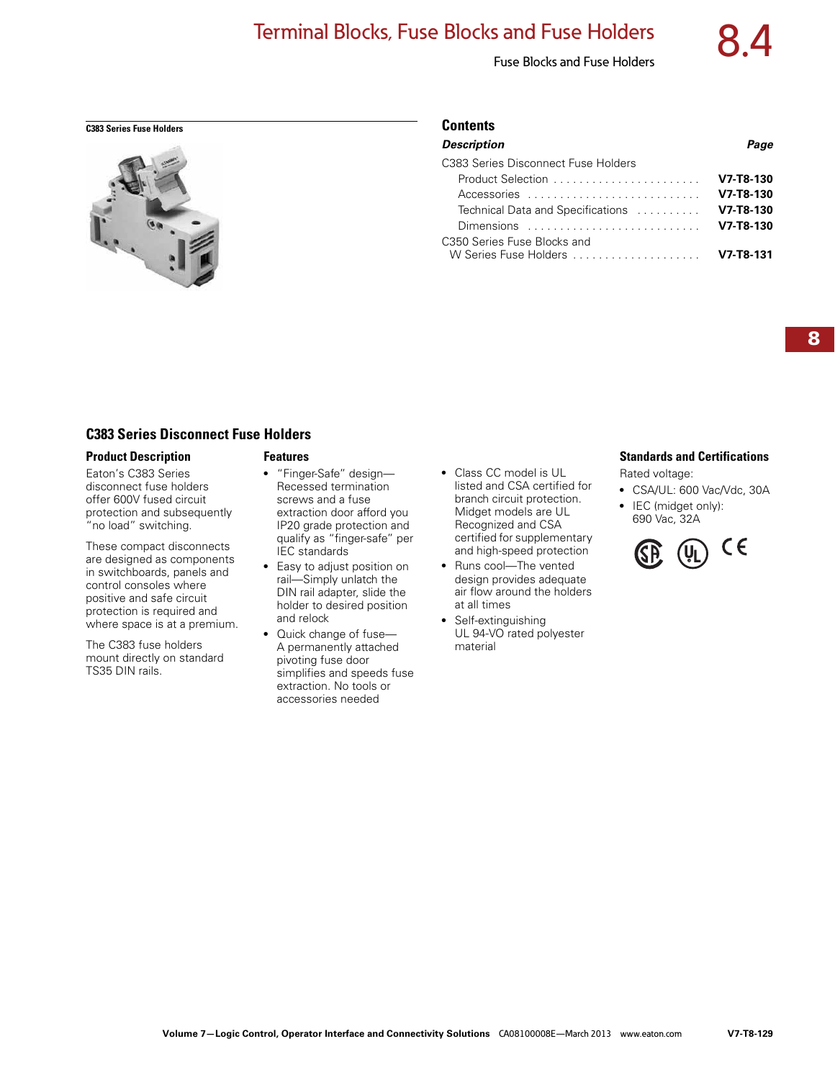# Terminal Blocks, Fuse Blocks and Fuse Holders

# Fuse Blocks and Fuse Holders



#### **C383 Series Fuse Holders Contents**

| <b>Description</b>                                            | Page        |
|---------------------------------------------------------------|-------------|
| C383 Series Disconnect Fuse Holders                           |             |
| Product Selection                                             | $V7-T8-130$ |
| Accessories                                                   | $V7-T8-130$ |
| Technical Data and Specifications                             | $V7-T8-130$ |
| Dimensions $\ldots \ldots \ldots \ldots \ldots \ldots \ldots$ | $V7-T8-130$ |
| C350 Series Fuse Blocks and                                   |             |
| W Series Fuse Holders                                         | $V7-T8-131$ |
|                                                               |             |

# **C383 Series Disconnect Fuse Holders**

#### **Product Description**

Eaton's C383 Series disconnect fuse holders offer 600V fused circuit protection and subsequently "no load" switching.

These compact disconnects are designed as components in switchboards, panels and control consoles where positive and safe circuit protection is required and where space is at a premium.

The C383 fuse holders mount directly on standard TS35 DIN rails.

#### **Features**

- "Finger-Safe" design— Recessed termination screws and a fuse extraction door afford you IP20 grade protection and qualify as "finger-safe" per IEC standards
- Easy to adjust position on rail—Simply unlatch the DIN rail adapter, slide the holder to desired position and relock
- Quick change of fuse-A permanently attached pivoting fuse door simplifies and speeds fuse extraction. No tools or accessories needed
- Class CC model is UL listed and CSA certified for branch circuit protection. Midget models are UL Recognized and CSA certified for supplementary and high-speed protection
- Runs cool-The vented design provides adequate air flow around the holders at all times
- Self-extinguishing UL 94-VO rated polyester material

# **Standards and Certifications**

Rated voltage:

- CSA/UL: 600 Vac/Vdc, 30A
- IEC (midget only): 690 Vac, 32A